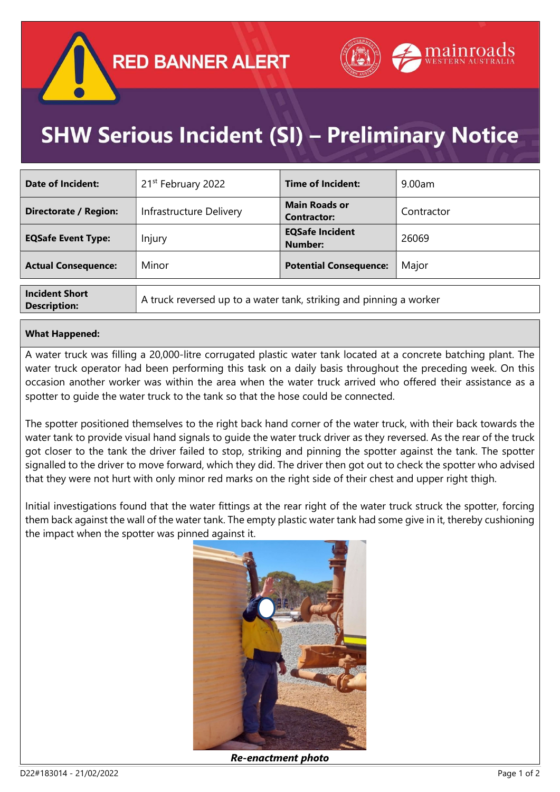

## **SHW Serious Incident (SI) - Preliminary Notice**

| <b>Date of Incident:</b>     | 21 <sup>st</sup> February 2022                                                                     | Time of Incident:                          | 9.00am     |
|------------------------------|----------------------------------------------------------------------------------------------------|--------------------------------------------|------------|
| <b>Directorate / Region:</b> | Infrastructure Delivery                                                                            | <b>Main Roads or</b><br><b>Contractor:</b> | Contractor |
| <b>EQSafe Event Type:</b>    | Injury                                                                                             | <b>EQSafe Incident</b><br><b>Number:</b>   | 26069      |
| <b>Actual Consequence:</b>   | Minor                                                                                              | <b>Potential Consequence:</b>              | Major      |
| <b>Incident Short</b>        | المتحاملون والمستحدث والمستحين والمستحي والمتحام والمستحدث والمستحدث والمستحدث والمستحدث والمستحدث |                                            |            |

**Description:** A truck reversed up to a water tank, striking and pinning a worker

## What Happened:

A water truck was filling a 20,000-litre corrugated plastic water tank located at a concrete batching plant. The water truck operator had been performing this task on a daily basis throughout the preceding week. On this occasion another worker was within the area when the water truck arrived who offered their assistance as a spotter to guide the water truck to the tank so that the hose could be connected.

The spotter positioned themselves to the right back hand corner of the water truck, with their back towards the water tank to provide visual hand signals to guide the water truck driver as they reversed. As the rear of the truck got closer to the tank the driver failed to stop, striking and pinning the spotter against the tank. The spotter signalled to the driver to move forward, which they did. The driver then got out to check the spotter who advised that they were not hurt with only minor red marks on the right side of their chest and upper right thigh.

Initial investigations found that the water fittings at the rear right of the water truck struck the spotter, forcing them back against the wall of the water tank. The empty plastic water tank had some give in it, thereby cushioning the impact when the spotter was pinned against it.



Re-enactment photo